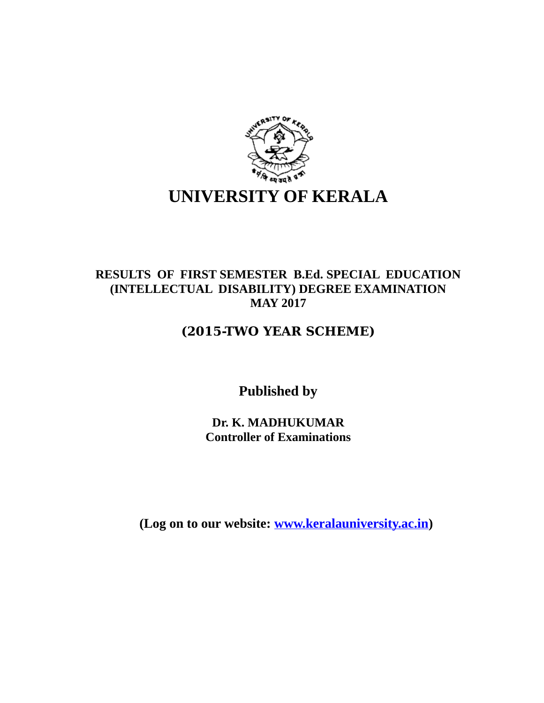

# **RESULTS OF FIRST SEMESTER B.Ed. SPECIAL EDUCATION (INTELLECTUAL DISABILITY) DEGREE EXAMINATION MAY 2017**

# **(2015-TWO YEAR SCHEME)**

**Published by**

**Dr. K. MADHUKUMAR Controller of Examinations**

**(Log on to our website: [www.keralauniversity.ac.in\)](http://www.keralauniversity.ac.in/)**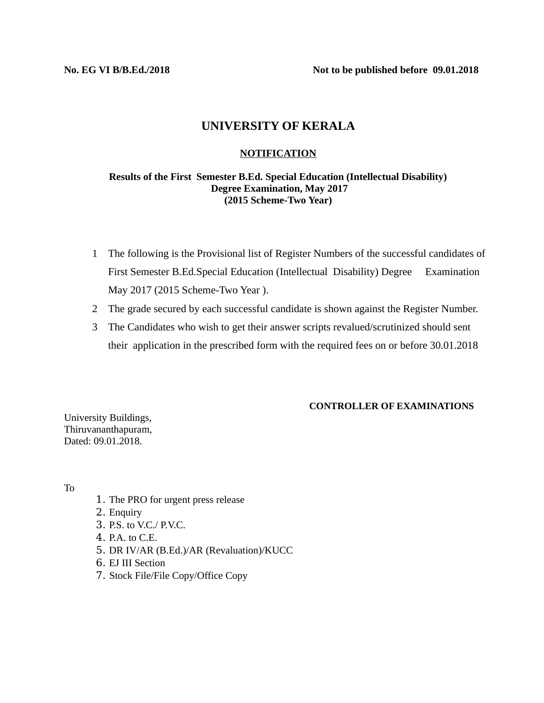**No. EG VI B/B.Ed./2018 Not to be published before 09.01.2018**

## **UNIVERSITY OF KERALA**

## **NOTIFICATION**

## **Results of the First Semester B.Ed. Special Education (Intellectual Disability) Degree Examination, May 2017 (2015 Scheme-Two Year)**

- 1 The following is the Provisional list of Register Numbers of the successful candidates of First Semester B.Ed.Special Education (Intellectual Disability) Degree Examination May 2017 (2015 Scheme-Two Year ).
- 2 The grade secured by each successful candidate is shown against the Register Number.
- 3 The Candidates who wish to get their answer scripts revalued/scrutinized should sent their application in the prescribed form with the required fees on or before 30.01.2018

### **CONTROLLER OF EXAMINATIONS**

University Buildings, Thiruvananthapuram, Dated: 09.01.2018.

To

- 1. The PRO for urgent press release
- 2. Enquiry
- 3. P.S. to V.C./ P.V.C.
- 4. P.A. to C.E.
- 5. DR IV/AR (B.Ed.)/AR (Revaluation)/KUCC
- 6. EJ III Section
- 7. Stock File/File Copy/Office Copy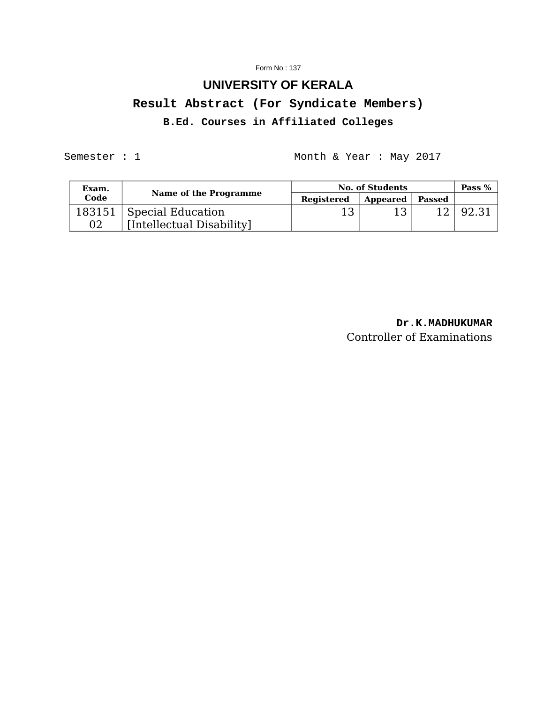#### Form No : 137

# **UNIVERSITY OF KERALA Result Abstract (For Syndicate Members) B.Ed. Courses in Affiliated Colleges**

Semester : 1 Month & Year : May 2017

| Exam. | Name of the Programme                                   | <b>No. of Students</b> |          |        | Pass $%$ |
|-------|---------------------------------------------------------|------------------------|----------|--------|----------|
| Code  |                                                         | Registered             | Appeared | Passed |          |
| 02    | 183151   Special Education<br>[Intellectual Disability] | כ 1                    |          |        | 92.31    |

**Dr.K.MADHUKUMAR** Controller of Examinations